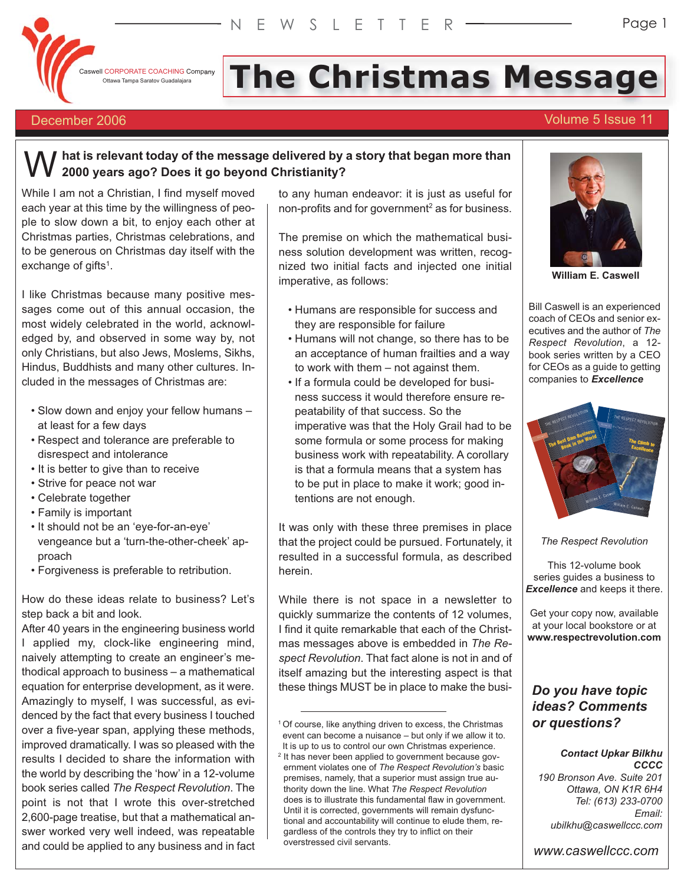

**Caswell CORPORATE COACHING Company** Ottawa Tampa Saratov Guadalajara

# **The Christmas Message**

# December 2006 Volume 5 Issue 11

Page 1

# **hat is relevant today of the message delivered by a story that began more than 2000 years ago? Does it go beyond Christianity?**  W

While I am not a Christian, I find myself moved each year at this time by the willingness of people to slow down a bit, to enjoy each other at Christmas parties, Christmas celebrations, and to be generous on Christmas day itself with the exchange of gifts<sup>1</sup>.

I like Christmas because many positive messages come out of this annual occasion, the most widely celebrated in the world, acknowledged by, and observed in some way by, not only Christians, but also Jews, Moslems, Sikhs, Hindus, Buddhists and many other cultures. Included in the messages of Christmas are:

- Slow down and enjoy your fellow humans at least for a few days
- Respect and tolerance are preferable to disrespect and intolerance
- It is better to give than to receive
- Strive for peace not war
- Celebrate together
- Family is important
- It should not be an 'eye-for-an-eye' vengeance but a 'turn-the-other-cheek' approach
- Forgiveness is preferable to retribution.

How do these ideas relate to business? Let's step back a bit and look.

After 40 years in the engineering business world I applied my, clock-like engineering mind, naively attempting to create an engineer's methodical approach to business – a mathematical equation for enterprise development, as it were. Amazingly to myself, I was successful, as evidenced by the fact that every business I touched over a five-year span, applying these methods, improved dramatically. I was so pleased with the results I decided to share the information with the world by describing the 'how' in a 12-volume book series called *The Respect Revolution*. The point is not that I wrote this over-stretched 2,600-page treatise, but that a mathematical answer worked very well indeed, was repeatable and could be applied to any business and in fact

to any human endeavor: it is just as useful for non-profits and for government<sup>2</sup> as for business.

The premise on which the mathematical business solution development was written, recognized two initial facts and injected one initial imperative, as follows:

- Humans are responsible for success and they are responsible for failure
- Humans will not change, so there has to be an acceptance of human frailties and a way to work with them – not against them.
- If a formula could be developed for business success it would therefore ensure repeatability of that success. So the imperative was that the Holy Grail had to be some formula or some process for making business work with repeatability. A corollary is that a formula means that a system has to be put in place to make it work; good intentions are not enough.

It was only with these three premises in place that the project could be pursued. Fortunately, it resulted in a successful formula, as described herein.

While there is not space in a newsletter to quickly summarize the contents of 12 volumes, I find it quite remarkable that each of the Christmas messages above is embedded in *The Respect Revolution*. That fact alone is not in and of itself amazing but the interesting aspect is that these things MUST be in place to make the busi-



**William E. Caswell**

Bill Caswell is an experienced coach of CEOs and senior executives and the author of *The Respect Revolution*, a 12 book series written by a CEO for CEOs as a guide to getting companies to *Excellence*



*The Respect Revolution*

This 12-volume book series guides a business to *Excellence* and keeps it there.

Get your copy now, available at your local bookstore or at **www.respectrevolution.com**

# *Do you have topic ideas? Comments or questions?*

#### *Contact Upkar Bilkhu CCCC*

*190 Bronson Ave. Suite 201 Ottawa, ON K1R 6H4 Tel: (613) 233-0700 Email: ubilkhu@caswellccc.com*

*www.caswellccc.com*

<sup>&</sup>lt;sup>1</sup> Of course, like anything driven to excess, the Christmas event can become a nuisance – but only if we allow it to. It is up to us to control our own Christmas experience.

<sup>&</sup>lt;sup>2</sup> It has never been applied to government because government violates one of *The Respect Revolution's* basic premises, namely, that a superior must assign true authority down the line. What *The Respect Revolution* does is to illustrate this fundamental flaw in government. Until it is corrected, governments will remain dysfunctional and accountability will continue to elude them, regardless of the controls they try to inflict on their overstressed civil servants.